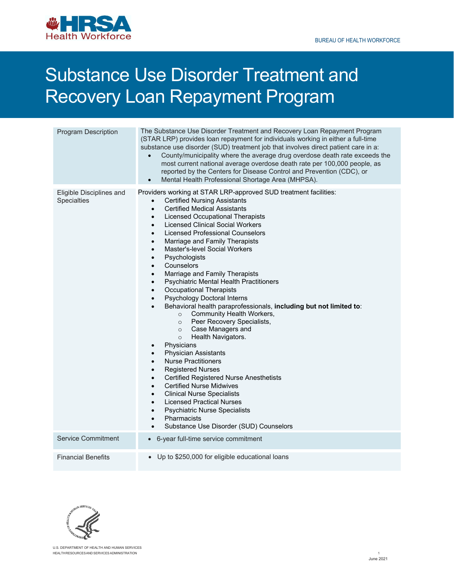

## Substance Use Disorder Treatment and Recovery Loan Repayment Program

| <b>Program Description</b>              | The Substance Use Disorder Treatment and Recovery Loan Repayment Program<br>(STAR LRP) provides loan repayment for individuals working in either a full-time<br>substance use disorder (SUD) treatment job that involves direct patient care in a:<br>County/municipality where the average drug overdose death rate exceeds the<br>most current national average overdose death rate per 100,000 people, as<br>reported by the Centers for Disease Control and Prevention (CDC), or<br>Mental Health Professional Shortage Area (MHPSA).                                                                                                                                                                                                                                                                                                                                                                                                                                                                                                                                                                                                                                                                                                                                                                                                                                                                |
|-----------------------------------------|----------------------------------------------------------------------------------------------------------------------------------------------------------------------------------------------------------------------------------------------------------------------------------------------------------------------------------------------------------------------------------------------------------------------------------------------------------------------------------------------------------------------------------------------------------------------------------------------------------------------------------------------------------------------------------------------------------------------------------------------------------------------------------------------------------------------------------------------------------------------------------------------------------------------------------------------------------------------------------------------------------------------------------------------------------------------------------------------------------------------------------------------------------------------------------------------------------------------------------------------------------------------------------------------------------------------------------------------------------------------------------------------------------|
| Eligible Disciplines and<br>Specialties | Providers working at STAR LRP-approved SUD treatment facilities:<br><b>Certified Nursing Assistants</b><br>$\bullet$<br><b>Certified Medical Assistants</b><br>$\bullet$<br><b>Licensed Occupational Therapists</b><br>$\bullet$<br><b>Licensed Clinical Social Workers</b><br>$\bullet$<br><b>Licensed Professional Counselors</b><br>$\bullet$<br>Marriage and Family Therapists<br>$\bullet$<br>Master's-level Social Workers<br>$\bullet$<br>Psychologists<br>$\bullet$<br>Counselors<br>$\bullet$<br>Marriage and Family Therapists<br>$\bullet$<br>Psychiatric Mental Health Practitioners<br>$\bullet$<br><b>Occupational Therapists</b><br>$\bullet$<br>Psychology Doctoral Interns<br>$\bullet$<br>Behavioral health paraprofessionals, including but not limited to:<br>Community Health Workers,<br>$\circ$<br>Peer Recovery Specialists,<br>$\circ$<br>Case Managers and<br>$\circ$<br>Health Navigators.<br>$\circ$<br>Physicians<br>$\bullet$<br><b>Physician Assistants</b><br>$\bullet$<br><b>Nurse Practitioners</b><br>$\bullet$<br><b>Registered Nurses</b><br>$\bullet$<br><b>Certified Registered Nurse Anesthetists</b><br>$\bullet$<br><b>Certified Nurse Midwives</b><br>$\bullet$<br><b>Clinical Nurse Specialists</b><br>$\bullet$<br><b>Licensed Practical Nurses</b><br>$\bullet$<br>Psychiatric Nurse Specialists<br>Pharmacists<br>Substance Use Disorder (SUD) Counselors |
| <b>Service Commitment</b>               | • 6-year full-time service commitment                                                                                                                                                                                                                                                                                                                                                                                                                                                                                                                                                                                                                                                                                                                                                                                                                                                                                                                                                                                                                                                                                                                                                                                                                                                                                                                                                                    |
| <b>Financial Benefits</b>               | • Up to \$250,000 for eligible educational loans                                                                                                                                                                                                                                                                                                                                                                                                                                                                                                                                                                                                                                                                                                                                                                                                                                                                                                                                                                                                                                                                                                                                                                                                                                                                                                                                                         |



 U.S. DEPARTMENT OF HEALTH AND HUMAN SERVICES HEALTH RESOURCES AND SERVICES ADMINISTRATION 1